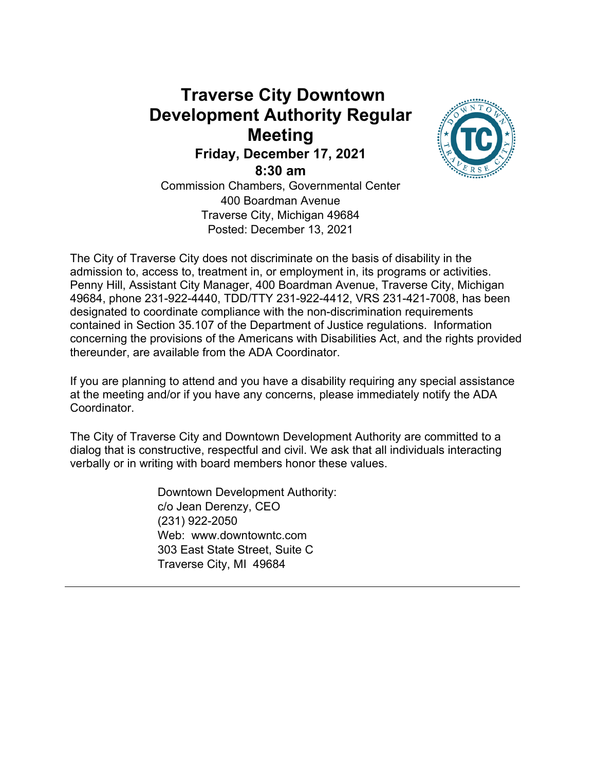# **Traverse City Downtown Development Authority Regular Meeting**



**8:30 am**



Commission Chambers, Governmental Center 400 Boardman Avenue Traverse City, Michigan 49684 Posted: December 13, 2021

The City of Traverse City does not discriminate on the basis of disability in the admission to, access to, treatment in, or employment in, its programs or activities. Penny Hill, Assistant City Manager, 400 Boardman Avenue, Traverse City, Michigan 49684, phone 231-922-4440, TDD/TTY 231-922-4412, VRS 231-421-7008, has been designated to coordinate compliance with the non-discrimination requirements contained in Section 35.107 of the Department of Justice regulations. Information concerning the provisions of the Americans with Disabilities Act, and the rights provided thereunder, are available from the ADA Coordinator.

If you are planning to attend and you have a disability requiring any special assistance at the meeting and/or if you have any concerns, please immediately notify the ADA Coordinator.

The City of Traverse City and Downtown Development Authority are committed to a dialog that is constructive, respectful and civil. We ask that all individuals interacting verbally or in writing with board members honor these values.

> Downtown Development Authority: c/o Jean Derenzy, CEO (231) 922-2050 Web: www.downtowntc.com 303 East State Street, Suite C Traverse City, MI 49684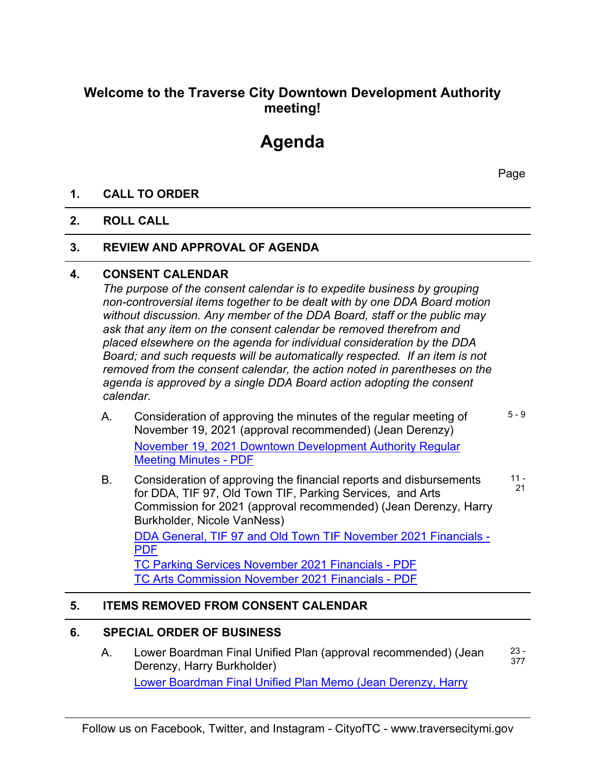### **Welcome to the Traverse City Downtown Development Authority meeting!**

## **Agenda**

Page

#### **1. CALL TO ORDER**

#### **2. ROLL CALL**

#### **3. REVIEW AND APPROVAL OF AGENDA**

#### **4. CONSENT CALENDAR**

*The purpose of the consent calendar is to expedite business by grouping non-controversial items together to be dealt with by one DDA Board motion without discussion. Any member of the DDA Board, staff or the public may ask that any item on the consent calendar be removed therefrom and placed elsewhere on the agenda for individual consideration by the DDA Board; and such requests will be automatically respected. If an item is not removed from the consent calendar, the action noted in parentheses on the agenda is approved by a single DDA Board action adopting the consent calendar.*

- A. Consideration of approving the minutes of the regular meeting of November 19, 2021 (approval recommended) (Jean Derenzy) [November 19, 2021 Downtown Development Authority Regular](http://traversecitymi.civicweb.net/document/50683/Downtown%20Development%20Authority%20Regular%20Meeting%20.pdf?handle=E2E3F4B2F08A404CB704139965DF6EFC)  [Meeting Minutes - PDF](http://traversecitymi.civicweb.net/document/50683/Downtown%20Development%20Authority%20Regular%20Meeting%20.pdf?handle=E2E3F4B2F08A404CB704139965DF6EFC) 5 - 9
- B. Consideration of approving the financial reports and disbursements for DDA, TIF 97, Old Town TIF, Parking Services, and Arts Commission for 2021 (approval recommended) (Jean Derenzy, Harry Burkholder, Nicole VanNess) 11 - 21

[DDA General, TIF 97 and Old Town TIF November 2021 Financials -](http://traversecitymi.civicweb.net/document/51763/Combined%20Financials.pdf?handle=1A876992A3B14242AFAF646D90B1F402)  [PDF](http://traversecitymi.civicweb.net/document/51763/Combined%20Financials.pdf?handle=1A876992A3B14242AFAF646D90B1F402) [TC Parking Services November 2021 Financials - PDF](http://traversecitymi.civicweb.net/document/51764/TC%20Parking%20Services%20Financials%20November%202021.pdf?handle=39CD740B7A8B4F70B9433A6FA81A3348)

[TC Arts Commission November 2021 Financials - PDF](http://traversecitymi.civicweb.net/document/51765/TC%20Arts%20Commission%20Financials%20November%202021.pdf?handle=05EA3B9CC02E45199CFE5CDAE96762FF)

#### **5. ITEMS REMOVED FROM CONSENT CALENDAR**

#### **6. SPECIAL ORDER OF BUSINESS**

A. Lower Boardman Final Unified Plan (approval recommended) (Jean Derenzy, Harry Burkholder) [Lower Boardman Final Unified Plan Memo \(Jean Derenzy, Harry](http://traversecitymi.civicweb.net/document/51775/Lower_Boardman_DDA_Memo.pdf?handle=652117A3378840CC9611FFC74E4E0325)  23 - 377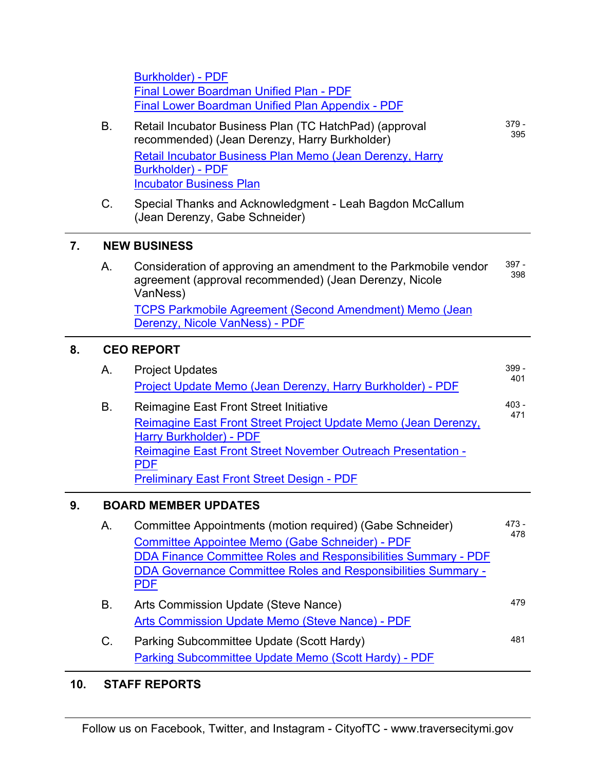|    |                             | <b>Burkholder) - PDF</b><br><b>Final Lower Boardman Unified Plan - PDF</b><br>Final Lower Boardman Unified Plan Appendix - PDF                                                                                                                                                     |                |  |  |
|----|-----------------------------|------------------------------------------------------------------------------------------------------------------------------------------------------------------------------------------------------------------------------------------------------------------------------------|----------------|--|--|
|    | B.                          | Retail Incubator Business Plan (TC HatchPad) (approval<br>recommended) (Jean Derenzy, Harry Burkholder)                                                                                                                                                                            | $379 -$<br>395 |  |  |
|    |                             | Retail Incubator Business Plan Memo (Jean Derenzy, Harry<br><b>Burkholder) - PDF</b><br><b>Incubator Business Plan</b>                                                                                                                                                             |                |  |  |
|    | C.                          | Special Thanks and Acknowledgment - Leah Bagdon McCallum<br>(Jean Derenzy, Gabe Schneider)                                                                                                                                                                                         |                |  |  |
| 7. | <b>NEW BUSINESS</b>         |                                                                                                                                                                                                                                                                                    |                |  |  |
|    | A.                          | Consideration of approving an amendment to the Parkmobile vendor<br>agreement (approval recommended) (Jean Derenzy, Nicole<br>VanNess)                                                                                                                                             | 397 -<br>398   |  |  |
|    |                             | <b>TCPS Parkmobile Agreement (Second Amendment) Memo (Jean</b><br>Derenzy, Nicole VanNess) - PDF                                                                                                                                                                                   |                |  |  |
| 8. | <b>CEO REPORT</b>           |                                                                                                                                                                                                                                                                                    |                |  |  |
|    | Α.                          | <b>Project Updates</b><br>Project Update Memo (Jean Derenzy, Harry Burkholder) - PDF                                                                                                                                                                                               | $399 -$<br>401 |  |  |
|    | B.                          | Reimagine East Front Street Initiative<br>Reimagine East Front Street Project Update Memo (Jean Derenzy,<br><b>Harry Burkholder) - PDF</b><br>Reimagine East Front Street November Outreach Presentation -<br><b>PDF</b><br><b>Preliminary East Front Street Design - PDF</b>      | $403 -$<br>471 |  |  |
| 9. | <b>BOARD MEMBER UPDATES</b> |                                                                                                                                                                                                                                                                                    |                |  |  |
|    | А.                          | Committee Appointments (motion required) (Gabe Schneider)<br><b>Committee Appointee Memo (Gabe Schneider) - PDF</b><br><b>DDA Finance Committee Roles and Responsibilities Summary - PDF</b><br><b>DDA Governance Committee Roles and Responsibilities Summary -</b><br><u>PDF</u> | $473 -$<br>478 |  |  |
|    | В.                          | Arts Commission Update (Steve Nance)                                                                                                                                                                                                                                               | 479            |  |  |
|    |                             | <b>Arts Commission Update Memo (Steve Nance) - PDF</b>                                                                                                                                                                                                                             |                |  |  |
|    | C.                          | Parking Subcommittee Update (Scott Hardy)<br>Parking Subcommittee Update Memo (Scott Hardy) - PDF                                                                                                                                                                                  | 481            |  |  |

## **10. STAFF REPORTS**